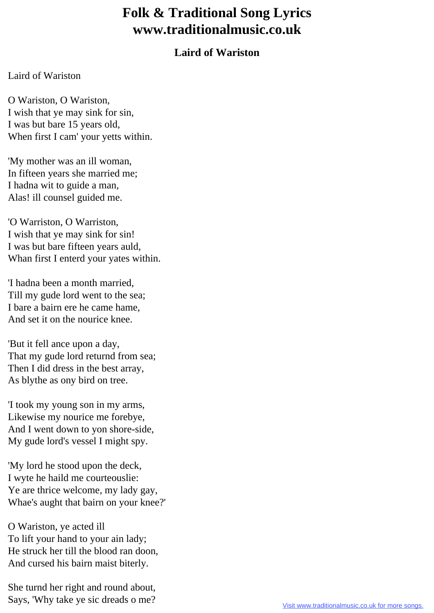## **Folk & Traditional Song Lyrics www.traditionalmusic.co.uk**

## **Laird of Wariston**

## Laird of Wariston

O Wariston, O Wariston, I wish that ye may sink for sin, I was but bare 15 years old, When first I cam' your yetts within.

'My mother was an ill woman, In fifteen years she married me; I hadna wit to guide a man, Alas! ill counsel guided me.

'O Warriston, O Warriston, I wish that ye may sink for sin! I was but bare fifteen years auld, Whan first I enterd your yates within.

'I hadna been a month married, Till my gude lord went to the sea; I bare a bairn ere he came hame, And set it on the nourice knee.

'But it fell ance upon a day, That my gude lord returnd from sea; Then I did dress in the best array, As blythe as ony bird on tree.

'I took my young son in my arms, Likewise my nourice me forebye, And I went down to yon shore-side, My gude lord's vessel I might spy.

'My lord he stood upon the deck, I wyte he haild me courteouslie: Ye are thrice welcome, my lady gay, Whae's aught that bairn on your knee?'

O Wariston, ye acted ill To lift your hand to your ain lady; He struck her till the blood ran doon, And cursed his bairn maist biterly.

She turnd her right and round about, Says, 'Why take ye sic dreads o me?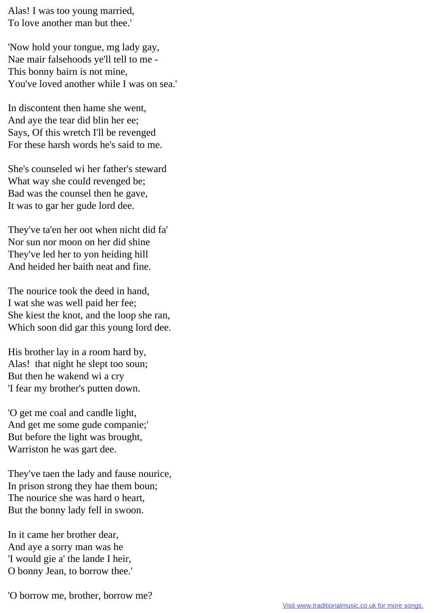Alas! I was too young married, To love another man but thee.'

'Now hold your tongue, mg lady gay, Nae mair falsehoods ye'll tell to me - This bonny bairn is not mine, You've loved another while I was on sea.'

In discontent then hame she went, And aye the tear did blin her ee; Says, Of this wretch I'll be revenged For these harsh words he's said to me.

She's counseled wi her father's steward What way she could revenged be; Bad was the counsel then he gave, It was to gar her gude lord dee.

They've ta'en her oot when nicht did fa' Nor sun nor moon on her did shine They've led her to yon heiding hill And heided her baith neat and fine.

The nourice took the deed in hand, I wat she was well paid her fee; She kiest the knot, and the loop she ran, Which soon did gar this young lord dee.

His brother lay in a room hard by, Alas! that night he slept too soun; But then he wakend wi a cry 'I fear my brother's putten down.

'O get me coal and candle light, And get me some gude companie;' But before the light was brought, Warriston he was gart dee.

They've taen the lady and fause nourice, In prison strong they hae them boun; The nourice she was hard o heart, But the bonny lady fell in swoon.

In it came her brother dear, And aye a sorry man was he 'I would gie a' the lande I heir, O bonny Jean, to borrow thee.'

'O borrow me, brother, borrow me?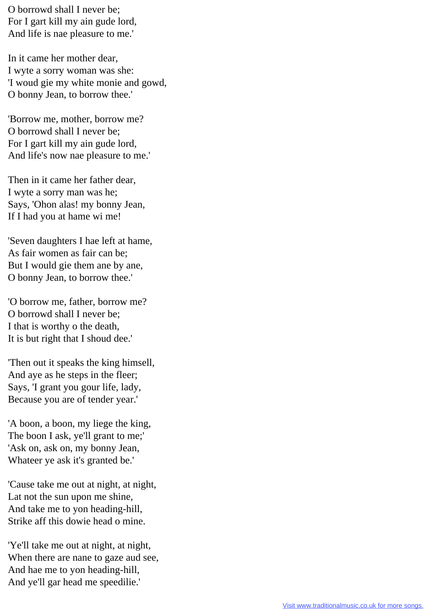O borrowd shall I never be; For I gart kill my ain gude lord, And life is nae pleasure to me.'

In it came her mother dear, I wyte a sorry woman was she: 'I woud gie my white monie and gowd, O bonny Jean, to borrow thee.'

'Borrow me, mother, borrow me? O borrowd shall I never be; For I gart kill my ain gude lord, And life's now nae pleasure to me.'

Then in it came her father dear, I wyte a sorry man was he; Says, 'Ohon alas! my bonny Jean, If I had you at hame wi me!

'Seven daughters I hae left at hame, As fair women as fair can be; But I would gie them ane by ane, O bonny Jean, to borrow thee.'

'O borrow me, father, borrow me? O borrowd shall I never be; I that is worthy o the death, It is but right that I shoud dee.'

'Then out it speaks the king himsell, And aye as he steps in the fleer; Says, 'I grant you gour life, lady, Because you are of tender year.'

'A boon, a boon, my liege the king, The boon I ask, ye'll grant to me;' 'Ask on, ask on, my bonny Jean, Whateer ye ask it's granted be.'

'Cause take me out at night, at night, Lat not the sun upon me shine, And take me to yon heading-hill, Strike aff this dowie head o mine.

'Ye'll take me out at night, at night, When there are nane to gaze aud see, And hae me to yon heading-hill, And ye'll gar head me speedilie.'